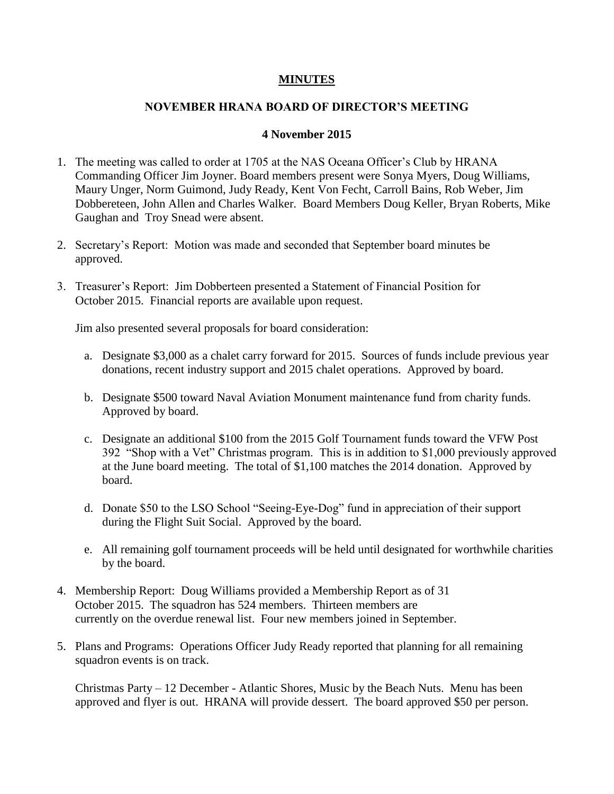## **MINUTES**

## **NOVEMBER HRANA BOARD OF DIRECTOR'S MEETING**

## **4 November 2015**

- 1. The meeting was called to order at 1705 at the NAS Oceana Officer's Club by HRANA Commanding Officer Jim Joyner. Board members present were Sonya Myers, Doug Williams, Maury Unger, Norm Guimond, Judy Ready, Kent Von Fecht, Carroll Bains, Rob Weber, Jim Dobbereteen, John Allen and Charles Walker. Board Members Doug Keller, Bryan Roberts, Mike Gaughan and Troy Snead were absent.
- 2. Secretary's Report: Motion was made and seconded that September board minutes be approved.
- 3. Treasurer's Report: Jim Dobberteen presented a Statement of Financial Position for October 2015. Financial reports are available upon request.

Jim also presented several proposals for board consideration:

- a. Designate \$3,000 as a chalet carry forward for 2015. Sources of funds include previous year donations, recent industry support and 2015 chalet operations. Approved by board.
- b. Designate \$500 toward Naval Aviation Monument maintenance fund from charity funds. Approved by board.
- c. Designate an additional \$100 from the 2015 Golf Tournament funds toward the VFW Post 392 "Shop with a Vet" Christmas program. This is in addition to \$1,000 previously approved at the June board meeting. The total of \$1,100 matches the 2014 donation. Approved by board.
- d. Donate \$50 to the LSO School "Seeing-Eye-Dog" fund in appreciation of their support during the Flight Suit Social. Approved by the board.
- e. All remaining golf tournament proceeds will be held until designated for worthwhile charities by the board.
- 4. Membership Report: Doug Williams provided a Membership Report as of 31 October 2015. The squadron has 524 members. Thirteen members are currently on the overdue renewal list. Four new members joined in September.
- 5. Plans and Programs: Operations Officer Judy Ready reported that planning for all remaining squadron events is on track.

Christmas Party – 12 December - Atlantic Shores, Music by the Beach Nuts. Menu has been approved and flyer is out. HRANA will provide dessert. The board approved \$50 per person.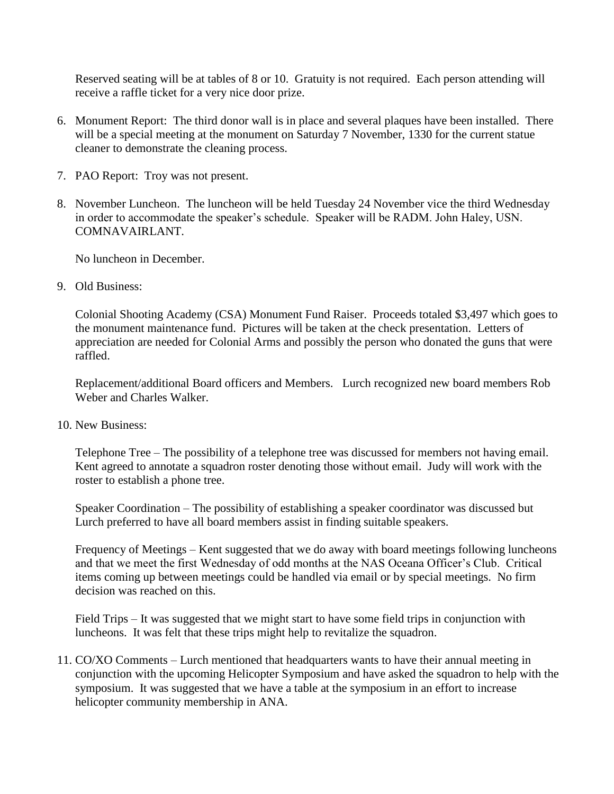Reserved seating will be at tables of 8 or 10. Gratuity is not required. Each person attending will receive a raffle ticket for a very nice door prize.

- 6. Monument Report: The third donor wall is in place and several plaques have been installed. There will be a special meeting at the monument on Saturday 7 November, 1330 for the current statue cleaner to demonstrate the cleaning process.
- 7. PAO Report: Troy was not present.
- 8. November Luncheon. The luncheon will be held Tuesday 24 November vice the third Wednesday in order to accommodate the speaker's schedule. Speaker will be RADM. John Haley, USN. COMNAVAIRLANT.

No luncheon in December.

9. Old Business:

Colonial Shooting Academy (CSA) Monument Fund Raiser. Proceeds totaled \$3,497 which goes to the monument maintenance fund. Pictures will be taken at the check presentation. Letters of appreciation are needed for Colonial Arms and possibly the person who donated the guns that were raffled.

Replacement/additional Board officers and Members. Lurch recognized new board members Rob Weber and Charles Walker.

10. New Business:

Telephone Tree – The possibility of a telephone tree was discussed for members not having email. Kent agreed to annotate a squadron roster denoting those without email. Judy will work with the roster to establish a phone tree.

Speaker Coordination – The possibility of establishing a speaker coordinator was discussed but Lurch preferred to have all board members assist in finding suitable speakers.

Frequency of Meetings – Kent suggested that we do away with board meetings following luncheons and that we meet the first Wednesday of odd months at the NAS Oceana Officer's Club. Critical items coming up between meetings could be handled via email or by special meetings. No firm decision was reached on this.

Field Trips – It was suggested that we might start to have some field trips in conjunction with luncheons. It was felt that these trips might help to revitalize the squadron.

11. CO/XO Comments – Lurch mentioned that headquarters wants to have their annual meeting in conjunction with the upcoming Helicopter Symposium and have asked the squadron to help with the symposium. It was suggested that we have a table at the symposium in an effort to increase helicopter community membership in ANA.